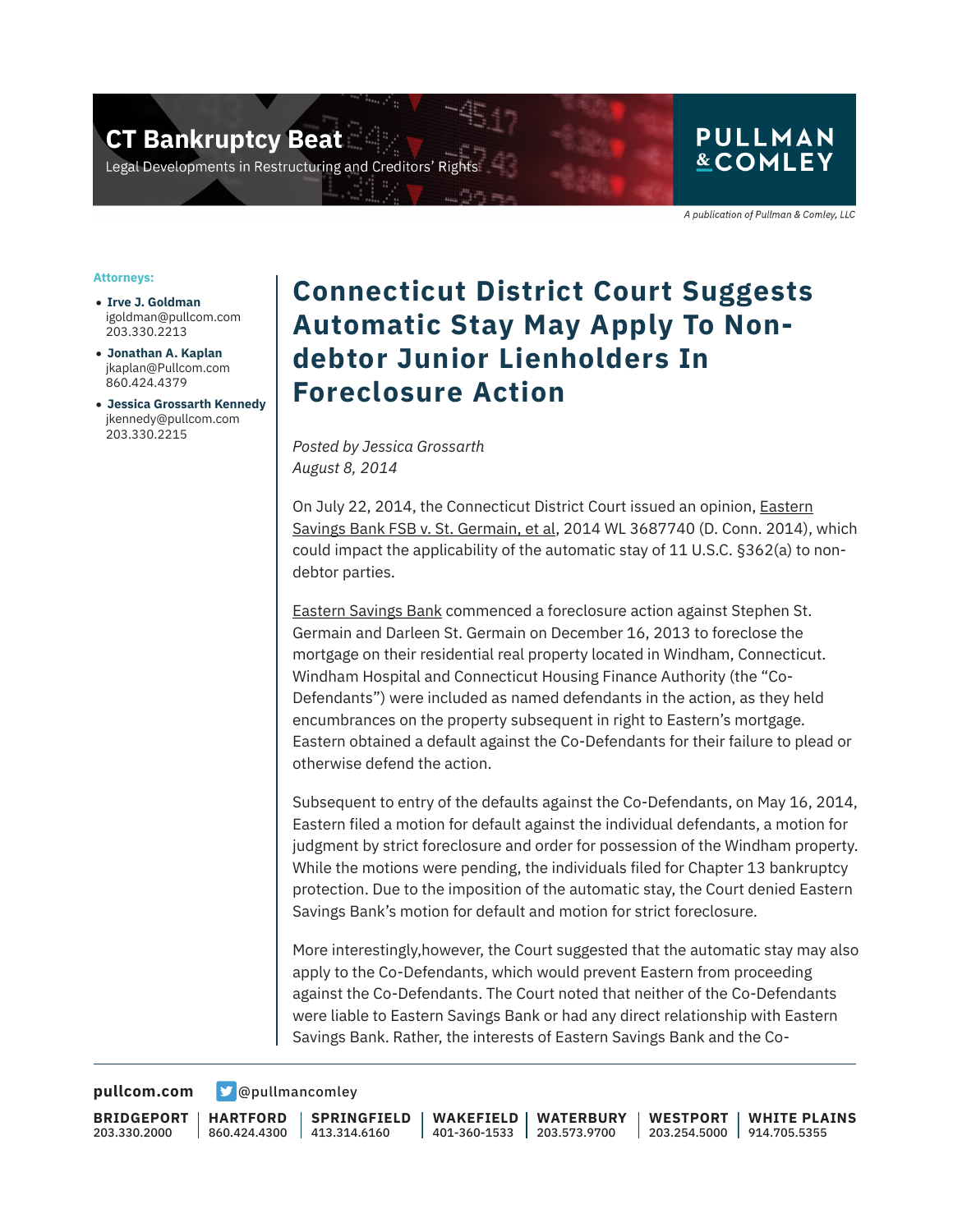**CT Bankruptcy Beat** 

Legal Developments in Restructuring and Creditors' Rigi

### **PULLMAN &COMLEY**

A publication of Pullman & Comley, LLC

#### **Attorneys:**

- **Irve J. Goldman** igoldman@pullcom.com 203.330.2213
- **Jonathan A. Kaplan** jkaplan@Pullcom.com 860.424.4379
- **Jessica Grossarth Kennedy** jkennedy@pullcom.com 203.330.2215

## **Connecticut District Court Suggests Automatic Stay May Apply To Nondebtor Junior Lienholders In Foreclosure Action**

*Posted by Jessica Grossarth August 8, 2014*

On July 22, 2014, the Connecticut District Court issued an opinion, Eastern Savings Bank FSB v. St. Germain, et al, 2014 WL 3687740 (D. Conn. 2014), which could impact the applicability of the automatic stay of 11 U.S.C. §362(a) to nondebtor parties.

Eastern Savings Bank commenced a foreclosure action against Stephen St. Germain and Darleen St. Germain on December 16, 2013 to foreclose the mortgage on their residential real property located in Windham, Connecticut. Windham Hospital and Connecticut Housing Finance Authority (the "Co-Defendants") were included as named defendants in the action, as they held encumbrances on the property subsequent in right to Eastern's mortgage. Eastern obtained a default against the Co-Defendants for their failure to plead or otherwise defend the action.

Subsequent to entry of the defaults against the Co-Defendants, on May 16, 2014, Eastern filed a motion for default against the individual defendants, a motion for judgment by strict foreclosure and order for possession of the Windham property. While the motions were pending, the individuals filed for Chapter 13 bankruptcy protection. Due to the imposition of the automatic stay, the Court denied Eastern Savings Bank's motion for default and motion for strict foreclosure.

More interestingly,however, the Court suggested that the automatic stay may also apply to the Co-Defendants, which would prevent Eastern from proceeding against the Co-Defendants. The Court noted that neither of the Co-Defendants were liable to Eastern Savings Bank or had any direct relationship with Eastern Savings Bank. Rather, the interests of Eastern Savings Bank and the Co-

**[pullcom.com](https://www.pullcom.com) g** [@pullmancomley](https://twitter.com/PullmanComley)

**BRIDGEPORT** 203.330.2000

**HARTFORD**

860.424.4300 413.314.6160 **SPRINGFIELD** **WAKEFIELD** 401-360-1533 203.573.9700 **WATERBURY WESTPORT**

203.254.5000 914.705.5355 **WHITE PLAINS**